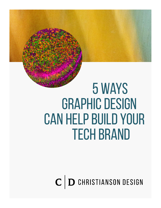# 5 Ways GRAPHIC DESIGN Can Help Build Your Tech Brand

 $\mathbf{C}$   $\mathbf{D}$  christianson design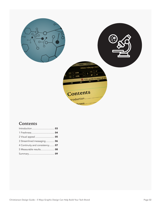

## **Contents**

| 2 Visual appeal  05             |  |
|---------------------------------|--|
| 3 Streamlined messaging  06     |  |
| 4 Continuity and consistency 07 |  |
| 5 Measurable results 08         |  |
|                                 |  |
|                                 |  |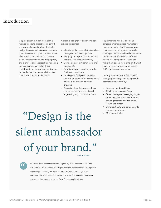## <span id="page-2-0"></span>**Introduction**

Graphic design is much more than a method to create attractive imagery. It is a powerful marketing tool that helps bridge the communication gap between your customers and your business. Visual effects and colors that attract the eye, clarity in wordsmithing and infographics, and a professional approach to managing the user experience—all of these contribute to make your communications more effective, and ultimately improve your position in the marketplace.

A graphic designer or design firm can provide assistance:

- Identifying the materials that can help meet your business objectives
- Mapping out a plan to produce the materials in a cost-efficient way
- Developing project parameters and benchmarks
- Providing layouts showing how the final product will look
- Building the final production files that can be provided to a commercial printer, a web server, or other channels
- Assessing the effectiveness of your current marketing materials and suggesting ways to improve them

Implementing well-designed and targeted graphics across your sales & marketing materials will increase your chances of capturing attention while creating a memorable brand experience. In the context of a website, effective design will engage your visitors and make them spend more time on it, which leads to more inquiries or purchases, AKA higher conversion rates.

In this guide, we look at five specific ways graphic design can be a powerful tool for your business by:

- Keeping your brand fresh
- Catching the customer's eye
- Streamlining your messaging so you don't lose your prospect's attention and engagement with too much jargon and clutter
- Using continuity and consistency to reinforce your brand
- Measuring results

## "Design is the silent ambassador of your brand." — PAUL RAND

 $\frac{1}{\sqrt{2}}$ 

Paul Rand (born Peretz Rosenbaum; August 15, 1914 – November 26, 1996) was an American art director and graphic designer, best known for his corporate logo designs, including the logos for IBM, UPS, Enron, Morningstar, Inc., Westinghouse, ABC, and NeXT. He was one of the first American commercial artists to embrace and practice the Swiss Style of graphic design.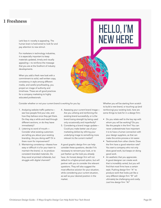## <span id="page-3-0"></span>**1 Freshness**

Let's face it: novelty is appealing. The human brain is hard-wired to look for and pay attention to new stimuli.

For marketers in technology industries, it is especially important to keep materials updated, timely and visually appealing—to reinforce the message that you are at the forefront of industry developments.

When you add a fresh new look with a commitment to solid, well-written copy, consistency in style among different media, and careful proofreading, you project an image of authority and timeliness. These are all good practices for a company marketing to highly educated professionals.

## Hello, I'm new here

Consider whether or not your current brand is working for you by:

- 1. Analyzing website traffic patterns see how people find your site, and how they behave once they get there. Do they stay a while and read through different sections, or do they leave immediately?
- 2. Listening to word of mouth— Consider what existing customers are telling you about your existing branding. Are you doing well? Or is there room for improvement?
- 3. Maintaining consistency—Assess how easy or difficult it is for your team to maintain the brand, i.e. to produce consistent branded materials. Do they excel at printed collaterals, but struggle with digital channels?
- 4. Assessing your current brand image— Are you utilizing and reinforcing the existing brand successfully, or is the brand losing strength by being used only occasionally and imperfectly?
- 5. Considering a brand image update— Could you make better use of your marketing dollars by refining your underlying image to something more relevant to the current market?

A good graphic design firm can help consider these questions, decide if it's necessary to reinvent your look, or to just freshen up the look you already have. An honest design firm will not default to a higher-priced option, but will partner with you to consider the relevant questions. They will also suggest the most effective solution for your situation, while considering your current situation, as well as your desired position in the market.

Whether you will be starting from scratch to build a new brand, or touching up (and reinforcing) your existing look, here are some things to look for in a design firm:

- Do you relate well to the key rep with whom you will be working? Do you like the people in the firm? You can never underestimate how important it is to have a human connection with your design suppliers, as that can make the entire process a lot easier.
- Testimonials from other clients: Does the firm have a good retention rate? You want a company who not only does good work, but keeps on doing good work.
- An aesthetic that you appreciate. A good designer can create work that is incredibly varied, but you will find that most firms have a certain style. Pushing design firm "A" to produce work that looks just like a very different design firm "B" will ultimately be challenging and costly. Just hire design firm "A!"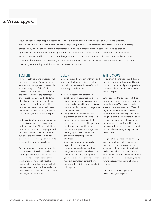## <span id="page-4-0"></span>**2 Visual appeal**

Visual appeal is what graphic design is all about. Designers work with shape, color, texture, pattern, movement, symmetry I asymmetry and more, exploring different combinations that create a visually pleasing effect. Many designers will share a fascination with these elements from an early age. Add to that an appreciation for the power of verbiage, animation, and sound — and you have a powerful set of tools to attract attention and hold it. A quality design firm that has expert command of these tools can be a fantastic partner to help meet your marketing objectives and convert leads to customers. Let's meet a few of the tools that designers employ (and that savvy marketers recognize):

#### **TEXTURE**

Photos, illustrations and typography all demonstrate texture. Typography can be selected and manipulated to resemble a dense heavy solid field of color, or a very scattered open-weave texture on the page. Likewise with photographs and illustrations. Beyond the textures of individual items, there is additional texture created by the relationships between items on a page. In all cases, texture may be used skillfully to create visual appeal, and to trigger a response.

Understanding the power of texture and its effects on readers is a big part of the designer's job. If you'll notice, children's books often have short paragraphs and plenty of pictures. Since the intended audience are inexperienced readers, this visual technique helps train them to associate the words with pictures.

On the other hand, literature for adults such as novels often don't need to have any images in them, as most reader's imaginations can make sense of the words written. The lack of visuals is intentional, as good authors know that the best way to engage their readers in their stories is to have their minds create the images for themselves.

#### Color

Color is trickier than you might think, and your graphic designer is the one who can help you harness this powerful tool. Some key considerations:

- Humans respond to color in an emotional way. Designers are skilled at understanding and using color to convey and evoke different emotions that may lead to the outcomes you, as a marketer, desire.
- Our perception of color changes depending on the media (print, web, projection, etc.), the substrate (the type of paper, or material for printing), the time of day or ambient light, the surrounding colors, our age, any underlying visual challenges (there are many different types of color blindness).
- Colors may change dramatically depending on the color space used to create them and manage them. Designers are familiar with how colors created in CMYK (cyan, magenta, yellow and black) for print application may look completely different on a monitor in the RGB (red, green, blue) color space.

#### WHITE SPACE

If you are in the marketing and design industry, you are likely very familiar with this term, and hopefully you appreciate the incredible power of white space to effect a response.

White space is the open space (white or otherwise) around your text, pictures, or audio. Audio? Yes, sound needs space to be effective as well. We would argue that audio is one of the best demonstrations of white space around. Imagine a television ad where the talent is speaking in run-on sentences with no pauses or breaks. The talking runs incessantly, forming a barrage of sound with no relief—making it very hard to understand.

Imagine also a professional storyteller, pausing for effect and meaning. These pauses matter, as they give the content a chance to shine, to sink in, and be fully understood. This is absolutely true in print media and website content: If there are no resting places, no pauses,and no "white spaces," then comprehension suffers.

If you want your message to be understood, give it space.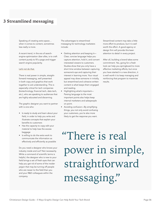## <span id="page-5-0"></span>**3 Streamlined messaging**

Speaking of creating extra space… when it comes to content, sometimes less really is more.

A recent trend, in the era of searchengine-optimization über alles, is to craft content purely to fill a page and trigger search engine popularity.

#### Let's not do that.

There is real power in simple, straightforward messaging, well presented in both copy and graphics that work together to aid understanding. This is especially critical for tech companies (biotechnology, financial tech, data tech, etc.), who are speaking to audiences that are highly educated and discerning.

The graphic designer you want to partner with is one who:

- Is ready to study and learn about your field, in order to help you write and illustrate concepts that explain your benefits to customers
- Has the capacity to copy edit your material to help lose the excess baggage
- Is willing to do the extra work to communicate the information as effectively and efficiently as possible

Do you need a designer who knows your industry inside and out? Not necessarily. While a command of scientific terms is helpful, the designer who is new to your field brings a set of fresh eyes that can help you get rid of some of the insider jargon that may be turning off people who are newer to the field than you and your R&D colleagues within the company.

The advantages to streamlined messaging for technology marketers include:

- Getting attention and keeping it— Clear, concise language helps you capture attention, hold it, and convert interested viewers to customers. Studies show that you only have a short time window between capturing someone's eye and capturing their interest in learning more. Your visual appeal may draw someone in initially, but streamlined and cohesive written content is what keeps them engaged and reading.
- Highlighting what's important— Parsing language to the most important points also helps keep internal marketers and salespeople on point.
- Avoiding confusion—By simplifying things, you not only avoid confusing your customers, you're also more likely to get the response you want.

Streamlined content may take a little more effort to produce, but it is well worth the effort. A good agency or design firm will provide this keen attention to detail in every project.

After all, building a brand takes some commitment. Yes, going for a fresh look can help you springboard to more effective marketing efforts, but once you have started in a new direction, it is well worth it to keep managing and reinforcing that program to maximize results.

"There is real power in simple, straightforward messaging."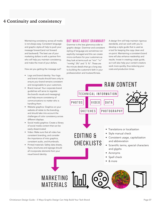## <span id="page-6-0"></span>**4 Continuity and consistency**

Maintaining consistency across all media is not always easy. Consistent language and graphic styles all help to push your message forward (and not forward and backward). The best use of your marketing dollars is with a partner firm who will help you maintain consistency, and make the most of your dollars.

How are you getting the message out?

- Logo and brand identity: Your logo and brand visuals should have unity to ensure your brand remains consistent and recognizable to your customers.
- Brand manual: Your corporate brand guidelines will serve to regulate the brand's visuals and messaging) and help ensure consistency of communications no matter who is handling them.
- Website graphics: Graphics on your website all relate to the branding, and should take into account the challenges of color consistency across different displays.
- Social media graphics: Create a library of social media content that can be easily disseminated
- Video: Make sure that all video has consistent branding, and consider the importance of intro graphics, consistent audio, and thumbnails.
- Printed materials: Safety data sheets, flyers, brochures and signage should all incorporate elements from your visual brand identity.

#### But what about grammar?

Grammar is the less glamorous side to graphic design. Grammar and consistent styling of language are sometimes not explicitly managed and this can create micro-confusion for your customers as they look at terms such as "min" "m" "mmHg" 3%" and "3 %". These are the minute details that go a long way to building the customer's faith in your professionalism and trustworthiness.

A design firm will help maintain rigorous standards, and can work with you to develop a style guide that is used as a tool for keeping the copy clean and on-point. Maintaining a consistent brand tone will also enhance readership and results. Invest in creating a style guide, as it will also help your content creators work more quickly, thus reducing your costs and production times.

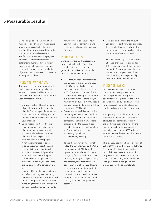## <span id="page-7-0"></span>**5 Measurable results**

Developing nice-looking marketing materials is one thing, but making sure your program is actually effective is another. How do you know if the projects you produced actually succeeded? The first step is to define the project's objectives. Different materials in different mediums will have different measurements for success. Here are some of the most common marketing objectives, and how success is measured with regards to them:

#### Increase awareness

The goal here is to make more people familiar with your brand, product or service to increase the likelihood of purchase. Here are some of the metrics used for measuring this:

- Growth in traffic—This is the number of people who've visited your site directly. The more people remember your brand, the more likely it is for them to look for it online and browse your offerings.
- Social media activities—If you're creating content for social media platforms, then measuring their success is relatively easy, as these platforms have analytics tools built into their business pages. A noticeable increase in page likes, engagement (reactions and comments to a post), and reach all point to a successful post when increased awareness is the goal. If the number of people reached matches or exceeds your provider's projections, then the campaign is a success.
- Surveys—Conducting surveys before and after launching new marketing materials is a tried-and-tested method for measuring awareness. Aside from measuring familiarity to your brand, it can also reveal customer sentiments,

how they heard about you, how you rank against competitors and customers' willingness to purchase from you.

#### Increase leads

Generating more leads creates more opportunities for sales. For online campaigns, the success of leadgeneration activities are commonly measured with these metrics:

- Click-through rate—This measures the number of clicks made to your links. Can be applied to channels like e-mail, a social media post, or a PPC (pay-per-click) advert. This is calculated by dividing the number of clicks by the number of viewers, then multiplying by 100. So if 1000 people saw your ad, and 100 of them click on it, then your CTR is 10%
- Conversion rate—This metric is the percentage of viewers who've done a specific action that is tied to your campaign. There are many actions that can be tied to this, such as:
	- Subscribing to an email newsletter
	- Downloading a brochure
	- Making a purchase
	- Completing a survey

To see the conversion rate, simply follow the same formula as the CTR. So for example, if 1000 people opened your email that asks them to sign up for a pre-order on a new product, but only 50 people actually pre-ordered, then that results in a conversion rate of only 5%. This may seem pretty low, but it's important to remember that the average conversion rate across all industries in 2019 is a mere 3.48%. 5% would actually be above average in this scenario.

• Cost per lead—This is the amount you spent for each new lead acquired. To compute it, you must divide the money spent on capturing leads with the number of leads captured.

So if you spent say, \$1000 to capture 25 leads, then the cost per lead is \$40. Once you've identified your cost per lead, it's important to make sure that amount is appropriately lower than the sales you can potentially make from them over a lifetime.

### Increase sales

Increasing actual sales is the most common, and easily measurable marketing objective. It is pretty straightforward—just check the return on investment or ROI, and it will reveal how successful your materials were in relation to how much they cost to make.

A simple way to calculate the ROI of a campaign is to take the sales growth attributed to a campaign, subtract the marketing cost, and divide by the marketing cost. So for example, if a campaign that cost you \$300 led to a sales increase of \$2400, then that means that the ROI is 700%.

This is a very good number, as a return of 5:1 or 500% is already considered strong. A return of 10:1 is certainly possible, but only in rare cases. A return of 4:1 or greater is much more common, and should be reasonably easier to achieve with great graphic design and wellwritten copy in the sales materials.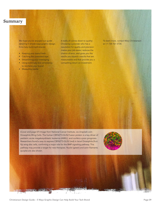### <span id="page-8-0"></span>**Summary**

We hope you've enjoyed our guide detailing 5 simple ways graphic design firms help build tech brands:

- Keeping your brand fresh
- Catching the customer's eye
- Streamlining your messaging
- Using continuity and consistency to reinforce your brand
- Measuring results

It really all comes down to quality: Choosing a provider who has a reputation for quality and precision makes your job easier, reduces the chance of error, and gives you the results you expect—results that are measureable and that provide you a compelling return on investment.

To learn more, contact Mary Christianson at +1 734 761 5734.

(Cover and page 07) Image from National Cancer Institute, via Unsplash.com [Drosophila Wing Cells. The human CBFA2T3-GLIS2 fusion protein is a key driver of](https://unsplash.com/photos/UpKCxjVM8wU)  pediatric acute megakaryoblastic leukemia (AMKL), and confers a poor prognosis. Researchers found a way to express CBFA2T3-GLIS2 (red) in larval Drosophila (fruit fly) wing disc cells, confirming a major role for the BMP signaling pathway. This pathway may provide a target for new therapies. Nuclei (green) and actin filaments (purple) are also shown.

 $\ldots$ 



Christianson Design Guide – 5 Ways Graphic Design Can Help Build Your Tech Brand Page 09 Page 09